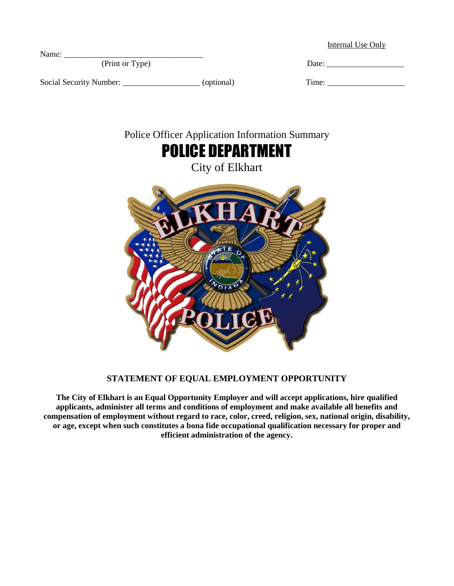Internal Use Only

| Name:           |      |
|-----------------|------|
| (Print or Type) | Date |
|                 |      |

Social Security Number: \_\_\_\_\_\_\_\_\_\_\_\_\_\_\_\_\_\_\_\_\_\_\_\_\_ (optional)



# POLICE DEPARTMENT

City of Elkhart



### **STATEMENT OF EQUAL EMPLOYMENT OPPORTUNITY**

**The City of Elkhart is an Equal Opportunity Employer and will accept applications, hire qualified applicants, administer all terms and conditions of employment and make available all benefits and compensation of employment without regard to race, color, creed, religion, sex, national origin, disability, or age, except when such constitutes a bona fide occupational qualification necessary for proper and efficient administration of the agency.**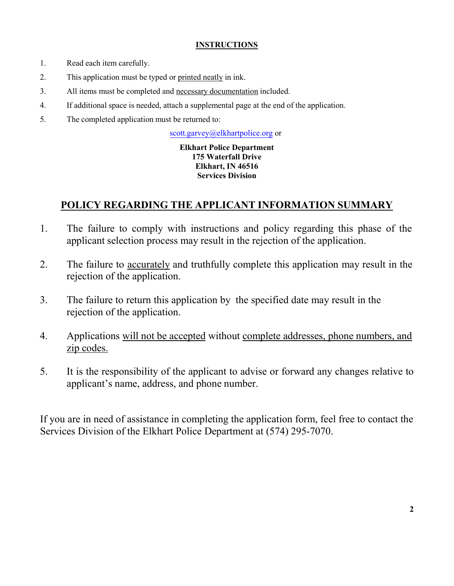### **INSTRUCTIONS**

- 1. Read each item carefully.
- 2. This application must be typed or printed neatly in ink.
- 3. All items must be completed and necessary documentation included.
- 4. If additional space is needed, attach a supplemental page at the end of the application.
- 5. The completed application must be returned to:

scott.garvey@elkhartpolice.org or

### **Elkhart Police Department 175 Waterfall Drive Elkhart, IN 46516 Services Division**

## **POLICY REGARDING THE APPLICANT INFORMATION SUMMARY**

- 1. The failure to comply with instructions and policy regarding this phase of the applicant selection process may result in the rejection of the application.
- 2. The failure to accurately and truthfully complete this application may result in the rejection of the application.
- 3. The failure to return this application by the specified date may result in the rejection of the application.
- 4. Applications will not be accepted without complete addresses, phone numbers, and zip codes.
- 5. It is the responsibility of the applicant to advise or forward any changes relative to applicant's name, address, and phone number.

If you are in need of assistance in completing the application form, feel free to contact the Services Division of the Elkhart Police Department at (574) 295-7070.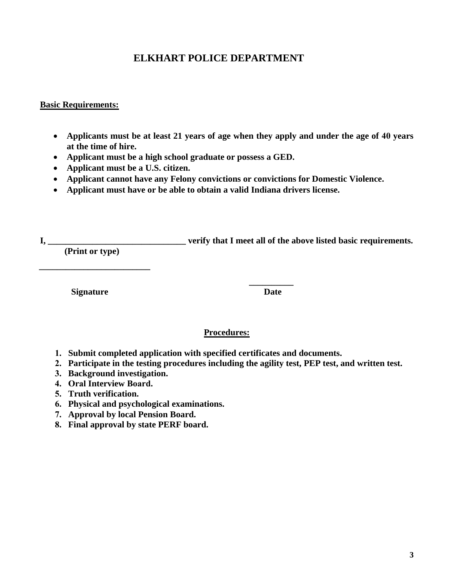## **ELKHART POLICE DEPARTMENT**

### **Basic Requirements:**

- **Applicants must be at least 21 years of age when they apply and under the age of 40 years at the time of hire.**
- **Applicant must be a high school graduate or possess a GED.**
- **Applicant must be a U.S. citizen.**
- **Applicant cannot have any Felony convictions or convictions for Domestic Violence.**
- **Applicant must have or be able to obtain a valid Indiana drivers license.**

**I, \_\_\_\_\_\_\_\_\_\_\_\_\_\_\_\_\_\_\_\_\_\_\_\_\_\_\_\_\_\_\_ verify that I meet all of the above listed basic requirements. (Print or type)**

**\_\_\_\_\_\_\_\_\_\_\_\_\_\_\_\_\_\_\_\_\_\_\_\_\_**

**\_\_\_\_\_\_\_\_\_\_ Signature Date**

### **Procedures:**

- **1. Submit completed application with specified certificates and documents.**
- **2. Participate in the testing procedures including the agility test, PEP test, and written test.**
- **3. Background investigation.**
- **4. Oral Interview Board.**
- **5. Truth verification.**
- **6. Physical and psychological examinations.**
- **7. Approval by local Pension Board.**
- **8. Final approval by state PERF board.**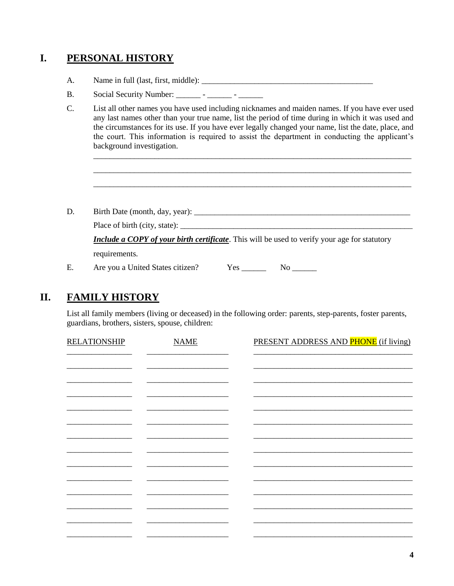## **I. PERSONAL HISTORY**

- A. Name in full (last, first, middle): \_\_\_\_\_\_\_\_\_\_\_\_\_\_\_\_\_\_\_\_\_\_\_\_\_\_\_\_\_\_\_\_\_\_\_\_\_\_\_\_\_\_
- B. Social Security Number: \_\_\_\_\_\_\_\_ \_\_\_\_\_\_ \_\_\_\_\_\_\_
- C. List all other names you have used including nicknames and maiden names. If you have ever used any last names other than your true name, list the period of time during in which it was used and the circumstances for its use. If you have ever legally changed your name, list the date, place, and the court. This information is required to assist the department in conducting the applicant's background investigation.

\_\_\_\_\_\_\_\_\_\_\_\_\_\_\_\_\_\_\_\_\_\_\_\_\_\_\_\_\_\_\_\_\_\_\_\_\_\_\_\_\_\_\_\_\_\_\_\_\_\_\_\_\_\_\_\_\_\_\_\_\_\_\_\_\_\_\_\_\_\_\_\_\_\_\_\_\_\_ \_\_\_\_\_\_\_\_\_\_\_\_\_\_\_\_\_\_\_\_\_\_\_\_\_\_\_\_\_\_\_\_\_\_\_\_\_\_\_\_\_\_\_\_\_\_\_\_\_\_\_\_\_\_\_\_\_\_\_\_\_\_\_\_\_\_\_\_\_\_\_\_\_\_\_\_\_\_ \_\_\_\_\_\_\_\_\_\_\_\_\_\_\_\_\_\_\_\_\_\_\_\_\_\_\_\_\_\_\_\_\_\_\_\_\_\_\_\_\_\_\_\_\_\_\_\_\_\_\_\_\_\_\_\_\_\_\_\_\_\_\_\_\_\_\_\_\_\_\_\_\_\_\_\_\_\_

- D. Birth Date (month, day, year): \_\_\_\_\_\_\_\_\_\_\_\_\_\_\_\_\_\_\_\_\_\_\_\_\_\_\_\_\_\_\_\_\_\_\_\_\_\_\_\_\_\_\_\_\_\_\_\_\_\_\_\_\_ Place of birth (city, state): \_\_\_\_\_\_\_\_\_\_\_\_\_\_\_\_\_\_\_\_\_\_\_\_\_\_\_\_\_\_\_\_\_\_\_\_\_\_\_\_\_\_\_\_\_\_\_\_\_\_\_\_\_\_\_\_\_ *Include a COPY of your birth certificate*. This will be used to verify your age for statutory requirements.
- E. Are you a United States citizen? Yes \_\_\_\_\_\_\_\_ No \_\_\_\_\_\_\_

## **II. FAMILY HISTORY**

List all family members (living or deceased) in the following order: parents, step-parents, foster parents, guardians, brothers, sisters, spouse, children:

| <b>RELATIONSHIP</b> | <b>NAME</b> | PRESENT ADDRESS AND PHONE (if living) |
|---------------------|-------------|---------------------------------------|
|                     |             |                                       |
|                     |             |                                       |
|                     |             |                                       |
|                     |             |                                       |
|                     |             |                                       |
|                     |             |                                       |
|                     |             |                                       |
|                     |             |                                       |
|                     |             |                                       |
|                     |             |                                       |
|                     |             |                                       |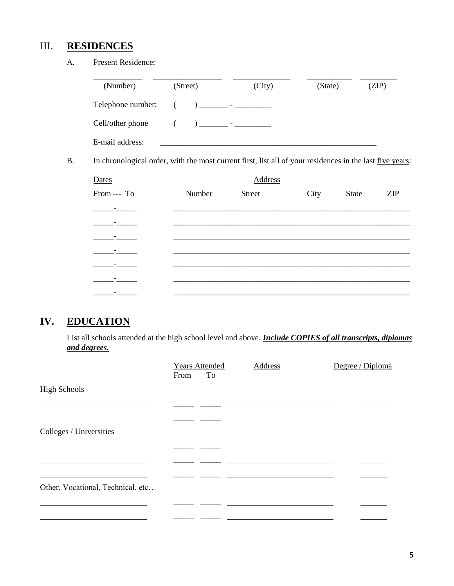## III. **RESIDENCES**

A. Present Residence:

| (Number)                                                                                                         | (Street) | (City)                                                                                                                                                                                                                                                                                                                               | (State) | (ZIP)                      |
|------------------------------------------------------------------------------------------------------------------|----------|--------------------------------------------------------------------------------------------------------------------------------------------------------------------------------------------------------------------------------------------------------------------------------------------------------------------------------------|---------|----------------------------|
| Telephone number:                                                                                                | €        | ) and $\overline{a}$ and $\overline{a}$ and $\overline{a}$ and $\overline{a}$ and $\overline{a}$ and $\overline{a}$ and $\overline{a}$ and $\overline{a}$ and $\overline{a}$ and $\overline{a}$ and $\overline{a}$ and $\overline{a}$ and $\overline{a}$ and $\overline{a}$ and $\overline{a}$ and $\overline{a}$ and $\overline{a}$ |         |                            |
| Cell/other phone                                                                                                 |          | ) _______ - __________                                                                                                                                                                                                                                                                                                               |         |                            |
| E-mail address:                                                                                                  |          |                                                                                                                                                                                                                                                                                                                                      |         |                            |
| In chronological order, with the most current first, list all of your residences in the last <u>five years</u> : |          |                                                                                                                                                                                                                                                                                                                                      |         |                            |
| Dates                                                                                                            |          | Address                                                                                                                                                                                                                                                                                                                              |         |                            |
| From --- To                                                                                                      | Number   | <b>Street</b>                                                                                                                                                                                                                                                                                                                        | City    | <b>ZIP</b><br><b>State</b> |
|                                                                                                                  |          |                                                                                                                                                                                                                                                                                                                                      |         |                            |
|                                                                                                                  |          |                                                                                                                                                                                                                                                                                                                                      |         |                            |
|                                                                                                                  |          |                                                                                                                                                                                                                                                                                                                                      |         |                            |
|                                                                                                                  |          |                                                                                                                                                                                                                                                                                                                                      |         |                            |
|                                                                                                                  |          |                                                                                                                                                                                                                                                                                                                                      |         |                            |
|                                                                                                                  |          |                                                                                                                                                                                                                                                                                                                                      |         |                            |

# **IV. EDUCATION**

\_\_\_\_\_-\_\_\_\_\_ \_\_\_\_\_\_\_\_\_\_\_\_\_\_\_\_\_\_\_\_\_\_\_\_\_\_\_\_\_\_\_\_\_\_\_\_\_\_\_\_\_\_\_\_\_\_\_\_\_\_\_\_\_\_\_\_\_\_

List all schools attended at the high school level and above. *Include COPIES of all transcripts, diplomas and degrees.*

|                                   | <b>Years Attended</b><br>To<br>From | Address | Degree / Diploma |
|-----------------------------------|-------------------------------------|---------|------------------|
| <b>High Schools</b>               |                                     |         |                  |
|                                   |                                     |         |                  |
| Colleges / Universities           |                                     |         |                  |
|                                   |                                     |         |                  |
|                                   |                                     |         |                  |
| Other, Vocational, Technical, etc |                                     |         |                  |
|                                   |                                     |         |                  |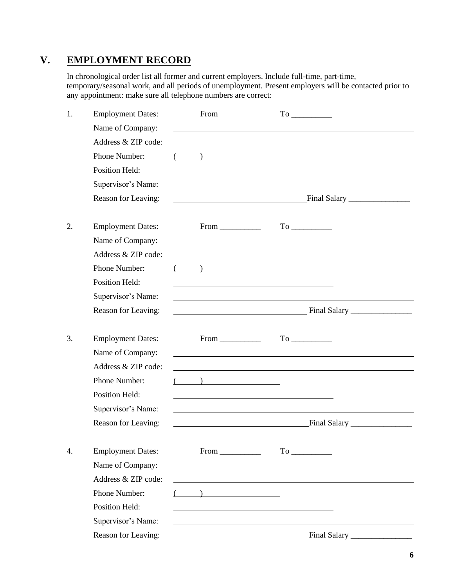## **V. EMPLOYMENT RECORD**

In chronological order list all former and current employers. Include full-time, part-time, temporary/seasonal work, and all periods of unemployment. Present employers will be contacted prior to any appointment: make sure all telephone numbers are correct:

| 1. | <b>Employment Dates:</b> | From                                                                                                                  |  |
|----|--------------------------|-----------------------------------------------------------------------------------------------------------------------|--|
|    | Name of Company:         |                                                                                                                       |  |
|    | Address & ZIP code:      | <u> 1989 - John Stein, september 1989 - John Stein, september 1989 - John Stein, september 1989 - John Stein, sep</u> |  |
|    | Phone Number:            | $\left(\begin{array}{c} \begin{array}{c} \begin{array}{c} \end{array}\\ \end{array}\right) \end{array}$               |  |
|    | <b>Position Held:</b>    | <u> 1989 - Johann Harry Harry Harry Harry Harry Harry Harry Harry Harry Harry Harry Harry Harry Harry Harry Harry</u> |  |
|    | Supervisor's Name:       |                                                                                                                       |  |
|    | Reason for Leaving:      |                                                                                                                       |  |
|    |                          |                                                                                                                       |  |
| 2. | <b>Employment Dates:</b> | $From \_\_\_\_\_\_$                                                                                                   |  |
|    | Name of Company:         | and the control of the control of the control of the control of the control of the control of the control of the      |  |
|    | Address & ZIP code:      |                                                                                                                       |  |
|    | Phone Number:            |                                                                                                                       |  |
|    | <b>Position Held:</b>    |                                                                                                                       |  |
|    | Supervisor's Name:       |                                                                                                                       |  |
|    | Reason for Leaving:      |                                                                                                                       |  |
|    |                          |                                                                                                                       |  |
| 3. | <b>Employment Dates:</b> | $From \_\_\_\_\_\_\_$                                                                                                 |  |
|    | Name of Company:         |                                                                                                                       |  |
|    | Address & ZIP code:      |                                                                                                                       |  |
|    | Phone Number:            | $($ ) <u>___________</u>                                                                                              |  |
|    | <b>Position Held:</b>    |                                                                                                                       |  |
|    | Supervisor's Name:       |                                                                                                                       |  |
|    | Reason for Leaving:      |                                                                                                                       |  |
|    |                          |                                                                                                                       |  |
| 4. | <b>Employment Dates:</b> |                                                                                                                       |  |
|    | Name of Company:         |                                                                                                                       |  |
|    | Address & ZIP code:      |                                                                                                                       |  |
|    | Phone Number:            | ) and the contract of $\overline{\phantom{a}}$                                                                        |  |
|    | Position Held:           |                                                                                                                       |  |
|    | Supervisor's Name:       |                                                                                                                       |  |
|    | Reason for Leaving:      |                                                                                                                       |  |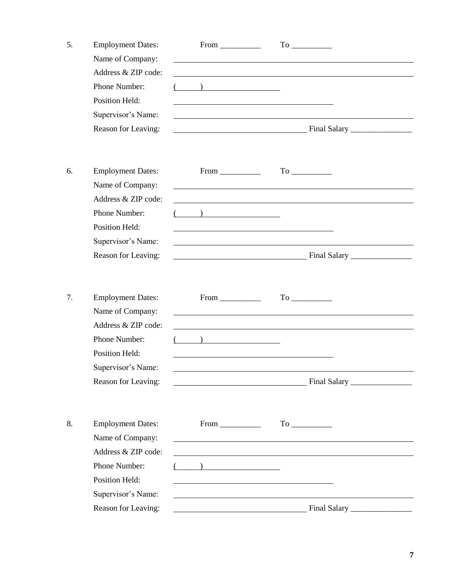| 5. | <b>Employment Dates:</b>                | $From \_\_$                                                                          |                                                                                                                       |                                                                                                                  |  |
|----|-----------------------------------------|--------------------------------------------------------------------------------------|-----------------------------------------------------------------------------------------------------------------------|------------------------------------------------------------------------------------------------------------------|--|
|    | Name of Company:<br>Address & ZIP code: |                                                                                      |                                                                                                                       |                                                                                                                  |  |
|    | Phone Number:                           | $\overline{\phantom{a}}$ ) and $\overline{\phantom{a}}$ and $\overline{\phantom{a}}$ |                                                                                                                       |                                                                                                                  |  |
|    | Position Held:                          |                                                                                      |                                                                                                                       |                                                                                                                  |  |
|    | Supervisor's Name:                      |                                                                                      |                                                                                                                       |                                                                                                                  |  |
|    | Reason for Leaving:                     |                                                                                      |                                                                                                                       |                                                                                                                  |  |
| 6. | <b>Employment Dates:</b>                | $From \_\_\_\_\_\_$                                                                  |                                                                                                                       |                                                                                                                  |  |
|    | Name of Company:                        |                                                                                      | <u> 1980 - Johann Barn, mars ann an t-Amhain Aonaich an t-Aonaich an t-Aonaich an t-Aonaich an t-Aonaich an t-Aon</u> |                                                                                                                  |  |
|    | Address & ZIP code:                     |                                                                                      |                                                                                                                       |                                                                                                                  |  |
|    | Phone Number:                           | $($ ) <u>________</u>                                                                |                                                                                                                       |                                                                                                                  |  |
|    | Position Held:                          |                                                                                      |                                                                                                                       |                                                                                                                  |  |
|    | Supervisor's Name:                      |                                                                                      |                                                                                                                       |                                                                                                                  |  |
|    | Reason for Leaving:                     |                                                                                      |                                                                                                                       |                                                                                                                  |  |
|    |                                         |                                                                                      |                                                                                                                       |                                                                                                                  |  |
| 7. | <b>Employment Dates:</b>                | $From \_\_\_\_\_\_\_\$                                                               |                                                                                                                       |                                                                                                                  |  |
|    | Name of Company:                        |                                                                                      |                                                                                                                       |                                                                                                                  |  |
|    | Address & ZIP code:                     |                                                                                      |                                                                                                                       |                                                                                                                  |  |
|    | Phone Number:                           |                                                                                      |                                                                                                                       |                                                                                                                  |  |
|    | Position Held:                          |                                                                                      |                                                                                                                       |                                                                                                                  |  |
|    | Supervisor's Name:                      |                                                                                      |                                                                                                                       |                                                                                                                  |  |
|    | Reason for Leaving:                     |                                                                                      |                                                                                                                       |                                                                                                                  |  |
|    |                                         |                                                                                      |                                                                                                                       |                                                                                                                  |  |
|    |                                         |                                                                                      |                                                                                                                       |                                                                                                                  |  |
| 8. | <b>Employment Dates:</b>                | $From \_\_\_\_\_\_$                                                                  |                                                                                                                       |                                                                                                                  |  |
|    | Name of Company:                        |                                                                                      |                                                                                                                       | and the control of the control of the control of the control of the control of the control of the control of the |  |
|    | Address & ZIP code:                     |                                                                                      |                                                                                                                       |                                                                                                                  |  |
|    | Phone Number:                           | $\left(\begin{array}{cc} \begin{array}{cc} \end{array}\\ \end{array}\right)$         |                                                                                                                       |                                                                                                                  |  |
|    | Position Held:<br>Supervisor's Name:    |                                                                                      |                                                                                                                       |                                                                                                                  |  |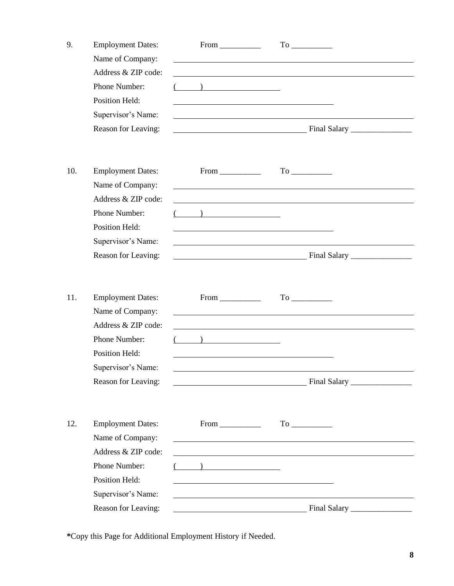| 9.  | <b>Employment Dates:</b><br>Name of Company: |                                                                                                                      |  |
|-----|----------------------------------------------|----------------------------------------------------------------------------------------------------------------------|--|
|     | Address & ZIP code:                          |                                                                                                                      |  |
|     | Phone Number:                                | $\left(\begin{array}{cc} \begin{array}{cc} \end{array}\\ \end{array}\right)$                                         |  |
|     | <b>Position Held:</b>                        |                                                                                                                      |  |
|     | Supervisor's Name:                           |                                                                                                                      |  |
|     | Reason for Leaving:                          |                                                                                                                      |  |
| 10. | <b>Employment Dates:</b>                     | $From \_\_\_\_\_\_$                                                                                                  |  |
|     | Name of Company:                             |                                                                                                                      |  |
|     | Address & ZIP code:                          |                                                                                                                      |  |
|     | Phone Number:                                | $($ ) and $($                                                                                                        |  |
|     | <b>Position Held:</b>                        |                                                                                                                      |  |
|     | Supervisor's Name:                           |                                                                                                                      |  |
|     | Reason for Leaving:                          |                                                                                                                      |  |
|     |                                              |                                                                                                                      |  |
| 11. | <b>Employment Dates:</b>                     | $From \_\_\_\_\_\_$                                                                                                  |  |
|     | Name of Company:                             |                                                                                                                      |  |
|     | Address & ZIP code:                          |                                                                                                                      |  |
|     | Phone Number:                                |                                                                                                                      |  |
|     | <b>Position Held:</b>                        |                                                                                                                      |  |
|     | Supervisor's Name:                           |                                                                                                                      |  |
|     | Reason for Leaving:                          |                                                                                                                      |  |
|     |                                              |                                                                                                                      |  |
| 12. | <b>Employment Dates:</b>                     | $From \_\_\_\_\_\_\$                                                                                                 |  |
|     | Name of Company:                             | <u> 1980 - Johann Barn, mars ann an t-Amhain Aonaich an t-Aonaich an t-Aonaich ann an t-Aonaich ann an t-Aonaich</u> |  |
|     | Address & ZIP code:                          |                                                                                                                      |  |
|     | Phone Number:                                | $($ $)$                                                                                                              |  |
|     | Position Held:                               |                                                                                                                      |  |
|     | Supervisor's Name:                           |                                                                                                                      |  |
|     | Reason for Leaving:                          |                                                                                                                      |  |

**\***Copy this Page for Additional Employment History if Needed.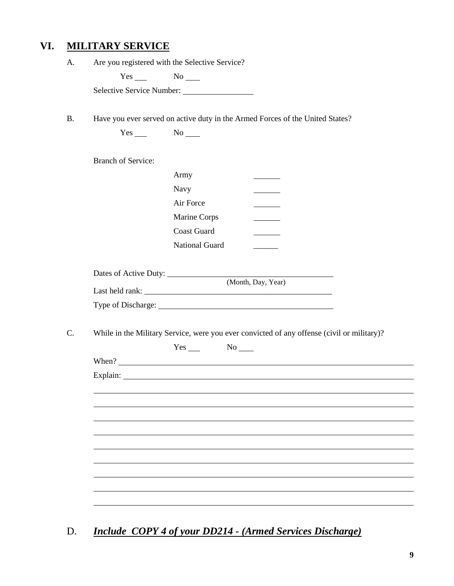## **VI. MILITARY SERVICE**

| A. |                                                |  |  |
|----|------------------------------------------------|--|--|
|    | Are you registered with the Selective Service? |  |  |

 $Yes$  No  $N$ o

Selective Service Number:

B. Have you ever served on active duty in the Armed Forces of the United States?

| <b>Branch of Service:</b> |                    |                                                                                                                                                                                                                                                                                                                             |  |
|---------------------------|--------------------|-----------------------------------------------------------------------------------------------------------------------------------------------------------------------------------------------------------------------------------------------------------------------------------------------------------------------------|--|
|                           | Army               |                                                                                                                                                                                                                                                                                                                             |  |
|                           | Navy               |                                                                                                                                                                                                                                                                                                                             |  |
|                           | Air Force          |                                                                                                                                                                                                                                                                                                                             |  |
|                           | Marine Corps       |                                                                                                                                                                                                                                                                                                                             |  |
|                           | <b>Coast Guard</b> |                                                                                                                                                                                                                                                                                                                             |  |
|                           | National Guard     |                                                                                                                                                                                                                                                                                                                             |  |
|                           |                    |                                                                                                                                                                                                                                                                                                                             |  |
|                           |                    |                                                                                                                                                                                                                                                                                                                             |  |
|                           |                    |                                                                                                                                                                                                                                                                                                                             |  |
|                           |                    |                                                                                                                                                                                                                                                                                                                             |  |
|                           |                    | Type of Discharge: 1986 and 2008 and 2008 and 2008 and 2008 and 2008 and 2008 and 2008 and 2008 and 2008 and 2008 and 2008 and 2008 and 2008 and 2008 and 2008 and 2008 and 2008 and 2008 and 2008 and 2008 and 2008 and 2008<br>While in the Military Service, were you ever convicted of any offense (civil or military)? |  |
|                           | $Yes$ No $No$      |                                                                                                                                                                                                                                                                                                                             |  |
|                           |                    |                                                                                                                                                                                                                                                                                                                             |  |
|                           |                    |                                                                                                                                                                                                                                                                                                                             |  |
|                           |                    |                                                                                                                                                                                                                                                                                                                             |  |
|                           |                    |                                                                                                                                                                                                                                                                                                                             |  |
|                           |                    |                                                                                                                                                                                                                                                                                                                             |  |
|                           |                    |                                                                                                                                                                                                                                                                                                                             |  |
|                           |                    |                                                                                                                                                                                                                                                                                                                             |  |
|                           |                    |                                                                                                                                                                                                                                                                                                                             |  |
|                           |                    |                                                                                                                                                                                                                                                                                                                             |  |

D. *Include COPY 4 of your DD214 - (Armed Services Discharge)*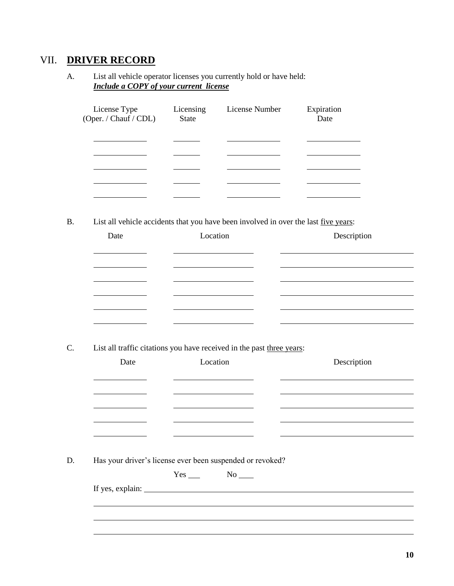## VII. **DRIVER RECORD**

A. List all vehicle operator licenses you currently hold or have held: *Include a COPY of your current license*

| License Type<br>(Oper. / Chauf / CDL) | Licensing<br><b>State</b> | License Number | Expiration<br>Date |
|---------------------------------------|---------------------------|----------------|--------------------|
|                                       |                           |                |                    |
|                                       |                           |                |                    |
|                                       |                           |                |                    |
|                                       |                           |                |                    |
|                                       |                           |                |                    |

B. List all vehicle accidents that you have been involved in over the last <u>five years</u>:

| Date | Location | Description |
|------|----------|-------------|
|      |          |             |
|      |          |             |
|      |          |             |
|      |          |             |
|      |          |             |

C. List all traffic citations you have received in the past three years:

| Date                                               | Location                                                                                                             | Description                                                                                                                                                                                                                   |
|----------------------------------------------------|----------------------------------------------------------------------------------------------------------------------|-------------------------------------------------------------------------------------------------------------------------------------------------------------------------------------------------------------------------------|
|                                                    |                                                                                                                      |                                                                                                                                                                                                                               |
| <u> 1989 - John Stone, Amerikaansk politiker (</u> | <u> 1989 - Johann Barbara, martxa a shekara 1989 - An tsaran 1989 - An tsara 1989 - An tsara 1989 - An tsara 198</u> | the control of the control of the control of the control of the control of the control of the control of the control of the control of the control of the control of the control of the control of the control of the control |
|                                                    |                                                                                                                      |                                                                                                                                                                                                                               |
| <u> 1980 - Johann Barnett, fransk politiker (</u>  |                                                                                                                      |                                                                                                                                                                                                                               |
|                                                    |                                                                                                                      |                                                                                                                                                                                                                               |
|                                                    |                                                                                                                      |                                                                                                                                                                                                                               |
|                                                    |                                                                                                                      |                                                                                                                                                                                                                               |
|                                                    |                                                                                                                      |                                                                                                                                                                                                                               |
|                                                    | Has your driver's license ever been suspended or revoked?                                                            |                                                                                                                                                                                                                               |
|                                                    | $Yes$ No $N$                                                                                                         |                                                                                                                                                                                                                               |
|                                                    |                                                                                                                      |                                                                                                                                                                                                                               |
|                                                    |                                                                                                                      |                                                                                                                                                                                                                               |
|                                                    |                                                                                                                      |                                                                                                                                                                                                                               |
|                                                    |                                                                                                                      |                                                                                                                                                                                                                               |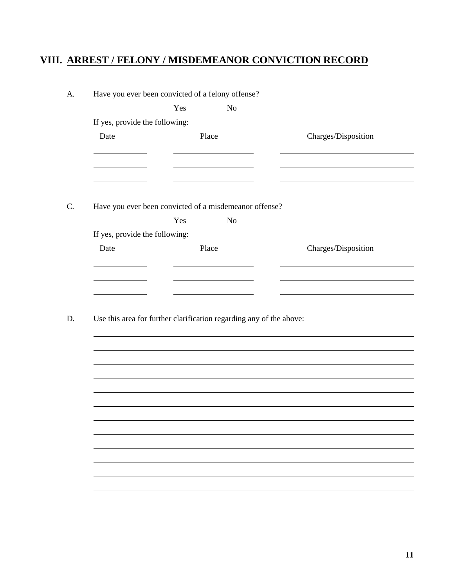# **VIII. ARREST / FELONY / MISDEMEANOR CONVICTION RECORD**

| Have you ever been convicted of a felony offense? |       |                                                                     |                     |
|---------------------------------------------------|-------|---------------------------------------------------------------------|---------------------|
|                                                   |       | $No$ <sub>____</sub>                                                |                     |
| If yes, provide the following:                    |       |                                                                     |                     |
| Date                                              | Place |                                                                     | Charges/Disposition |
|                                                   |       |                                                                     |                     |
|                                                   |       |                                                                     |                     |
|                                                   |       |                                                                     |                     |
|                                                   |       | Have you ever been convicted of a misdemeanor offense?              |                     |
|                                                   |       | $Yes \_ No \_$                                                      |                     |
| If yes, provide the following:                    |       |                                                                     |                     |
| Date                                              | Place |                                                                     | Charges/Disposition |
|                                                   |       |                                                                     |                     |
|                                                   |       |                                                                     |                     |
|                                                   |       |                                                                     |                     |
|                                                   |       |                                                                     |                     |
|                                                   |       |                                                                     |                     |
|                                                   |       | Use this area for further clarification regarding any of the above: |                     |
|                                                   |       |                                                                     |                     |
|                                                   |       |                                                                     |                     |
|                                                   |       |                                                                     |                     |
|                                                   |       |                                                                     |                     |
|                                                   |       |                                                                     |                     |
|                                                   |       |                                                                     |                     |
|                                                   |       |                                                                     |                     |
|                                                   |       |                                                                     |                     |
|                                                   |       |                                                                     |                     |
|                                                   |       |                                                                     |                     |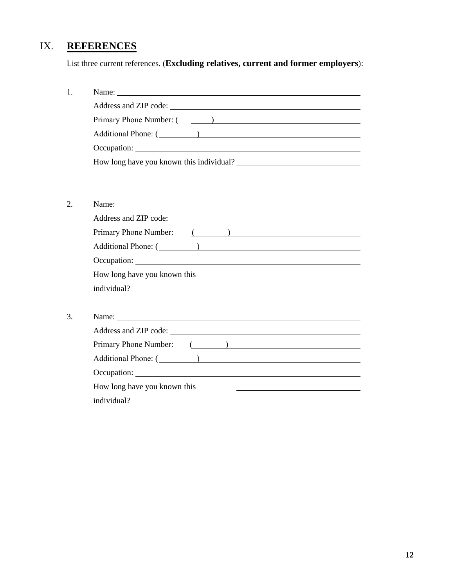# IX. **REFERENCES**

List three current references. (**Excluding relatives, current and former employers**):

| Primary Phone Number: (1999) |  |  |  |
|------------------------------|--|--|--|
|                              |  |  |  |
|                              |  |  |  |
| How long have you known this |  |  |  |
| individual?                  |  |  |  |
|                              |  |  |  |
|                              |  |  |  |
|                              |  |  |  |
| Primary Phone Number: (1999) |  |  |  |
| Additional Phone: (1000)     |  |  |  |
|                              |  |  |  |
| How long have you known this |  |  |  |
| individual?                  |  |  |  |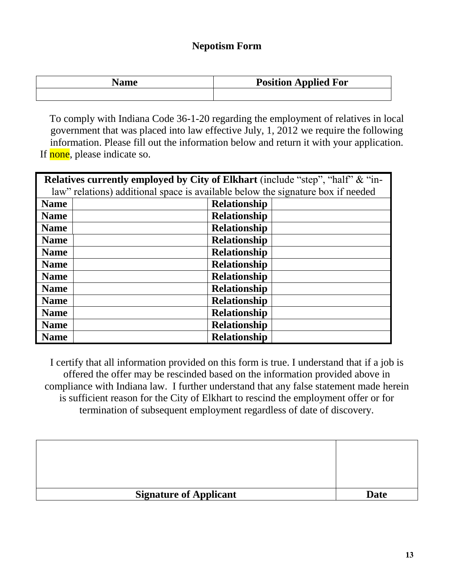## **Nepotism Form**

| Name | <b>Position Applied For</b> |
|------|-----------------------------|
|      |                             |

To comply with Indiana Code 36-1-20 regarding the employment of relatives in local government that was placed into law effective July, 1, 2012 we require the following information. Please fill out the information below and return it with your application. If none, please indicate so. gov<br>info<br><mark>none</mark><br>celat

| Relatives currently employed by City of Elkhart (include "step", "half" & "in-  |                     |  |  |  |  |  |
|---------------------------------------------------------------------------------|---------------------|--|--|--|--|--|
| law" relations) additional space is available below the signature box if needed |                     |  |  |  |  |  |
| <b>Name</b>                                                                     | <b>Relationship</b> |  |  |  |  |  |
| <b>Name</b>                                                                     | <b>Relationship</b> |  |  |  |  |  |
| <b>Name</b>                                                                     | <b>Relationship</b> |  |  |  |  |  |
| <b>Name</b>                                                                     | <b>Relationship</b> |  |  |  |  |  |
| <b>Name</b>                                                                     | <b>Relationship</b> |  |  |  |  |  |
| <b>Name</b>                                                                     | <b>Relationship</b> |  |  |  |  |  |
| <b>Name</b>                                                                     | <b>Relationship</b> |  |  |  |  |  |
| <b>Name</b>                                                                     | <b>Relationship</b> |  |  |  |  |  |
| <b>Name</b>                                                                     | <b>Relationship</b> |  |  |  |  |  |
| <b>Name</b>                                                                     | <b>Relationship</b> |  |  |  |  |  |
| <b>Name</b>                                                                     | <b>Relationship</b> |  |  |  |  |  |
| <b>Name</b>                                                                     | <b>Relationship</b> |  |  |  |  |  |

I certify that all information provided on this form is true. I understand that if a job is offered the offer may be rescinded based on the information provided above in compliance with Indiana law. I further understand that any false statement made herein is sufficient reason for the City of Elkhart to rescind the employment offer or for termination of subsequent employment regardless of date of discovery.

| <b>Signature of Applicant</b> | <b>Date</b> |
|-------------------------------|-------------|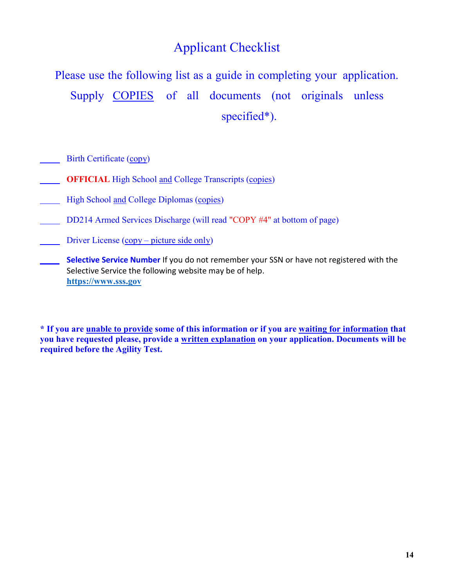# Applicant Checklist

Please use the following list as a guide in completing your application. Supply COPIES of all documents (not originals unless specified\*).

Birth Certificate (copy)

- **OFFICIAL** High School and College Transcripts (copies)
- High School and College Diplomas (copies)
- DD214 Armed Services Discharge (will read "COPY #4" at bottom of page)
- Driver License  $(copy picture side only)$
- **Selective Service Number** If you do not remember your SSN or have not registered with the Selective Service the following website may be of help. **[https://www.sss.gov](https://www.sss.gov/)**

**\* If you are unable to provide some of this information or if you are waiting for information that you have requested please, provide a written explanation on your application. Documents will be required before the Agility Test.**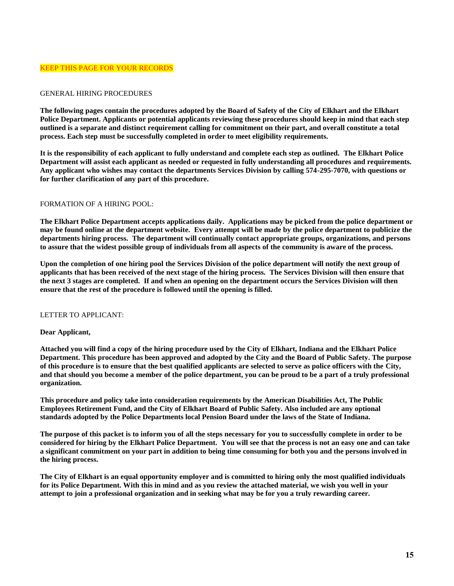### GENERAL HIRING PROCEDURES

**The following pages contain the procedures adopted by the Board of Safety of the City of Elkhart and the Elkhart Police Department. Applicants or potential applicants reviewing these procedures should keep in mind that each step outlined is a separate and distinct requirement calling for commitment on their part, and overall constitute a total process. Each step must be successfully completed in order to meet eligibility requirements.**

**It is the responsibility of each applicant to fully understand and complete each step as outlined. The Elkhart Police Department will assist each applicant as needed or requested in fully understanding all procedures and requirements. Any applicant who wishes may contact the departments Services Division by calling 574-295-7070, with questions or for further clarification of any part of this procedure.**

### FORMATION OF A HIRING POOL:

**The Elkhart Police Department accepts applications daily. Applications may be picked from the police department or may be found online at the department website. Every attempt will be made by the police department to publicize the departments hiring process. The department will continually contact appropriate groups, organizations, and persons to assure that the widest possible group of individuals from all aspects of the community is aware of the process.**

**Upon the completion of one hiring pool the Services Division of the police department will notify the next group of applicants that has been received of the next stage of the hiring process. The Services Division will then ensure that the next 3 stages are completed. If and when an opening on the department occurs the Services Division will then ensure that the rest of the procedure is followed until the opening is filled.**

### LETTER TO APPLICANT:

### **Dear Applicant,**

**Attached you will find a copy of the hiring procedure used by the City of Elkhart, Indiana and the Elkhart Police Department. This procedure has been approved and adopted by the City and the Board of Public Safety. The purpose of this procedure is to ensure that the best qualified applicants are selected to serve as police officers with the City, and that should you become a member of the police department, you can be proud to be a part of a truly professional organization.**

**This procedure and policy take into consideration requirements by the American Disabilities Act, The Public Employees Retirement Fund, and the City of Elkhart Board of Public Safety. Also included are any optional standards adopted by the Police Departments local Pension Board under the laws of the State of Indiana.** 

**The purpose of this packet is to inform you of all the steps necessary for you to successfully complete in order to be considered for hiring by the Elkhart Police Department. You will see that the process is not an easy one and can take a significant commitment on your part in addition to being time consuming for both you and the persons involved in the hiring process.**

**The City of Elkhart is an equal opportunity employer and is committed to hiring only the most qualified individuals for its Police Department. With this in mind and as you review the attached material, we wish you well in your attempt to join a professional organization and in seeking what may be for you a truly rewarding career.**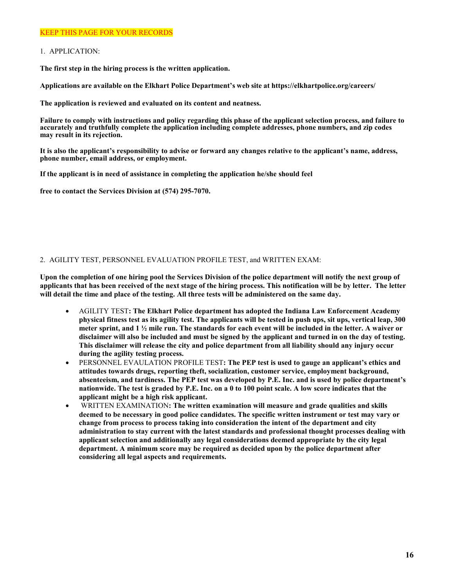### KEEP THIS PAGE FOR YOUR RECORDS

### 1. APPLICATION:

**The first step in the hiring process is the written application.**

**Applications are available on the Elkhart Police Department's web site at https://elkhartpolice.org/careers/**

**The application is reviewed and evaluated on its content and neatness.**

**Failure to comply with instructions and policy regarding this phase of the applicant selection process, and failure to accurately and truthfully complete the application including complete addresses, phone numbers, and zip codes may result in its rejection.**

**It is also the applicant's responsibility to advise or forward any changes relative to the applicant's name, address, phone number, email address, or employment.**

**If the applicant is in need of assistance in completing the application he/she should feel**

**free to contact the Services Division at (574) 295-7070.**

### 2. AGILITY TEST, PERSONNEL EVALUATION PROFILE TEST, and WRITTEN EXAM:

**Upon the completion of one hiring pool the Services Division of the police department will notify the next group of** applicants that has been received of the next stage of the hiring process. This notification will be by letter. The letter **will detail the time and place of the testing. All three tests will be administered on the same day.**

- AGILITY TEST**: The Elkhart Police department has adopted the Indiana Law Enforcement Academy physical fitness test as its agility test. The applicants will be tested in push ups, sit ups, vertical leap, 300 meter sprint, and 1 ½ mile run. The standards for each event will be included in the letter. A waiver or disclaimer will also be included and must be signed by the applicant and turned in on the day of testing. This disclaimer will release the city and police department from all liability should any injury occur during the agility testing process.**
- PERSONNEL EVAULATION PROFILE TEST**: The PEP test is used to gauge an applicant's ethics and attitudes towards drugs, reporting theft, socialization, customer service, employment background, absenteeism, and tardiness. The PEP test was developed by P.E. Inc. and is used by police department's nationwide. The test is graded by P.E. Inc. on a 0 to 100 point scale. A low score indicates that the applicant might be a high risk applicant.**
- WRITTEN EXAMINATION**: The written examination will measure and grade qualities and skills deemed to be necessary in good police candidates. The specific written instrument or test may vary or change from process to process taking into consideration the intent of the department and city administration to stay current with the latest standards and professional thought processes dealing with applicant selection and additionally any legal considerations deemed appropriate by the city legal department. A minimum score may be required as decided upon by the police department after considering all legal aspects and requirements.**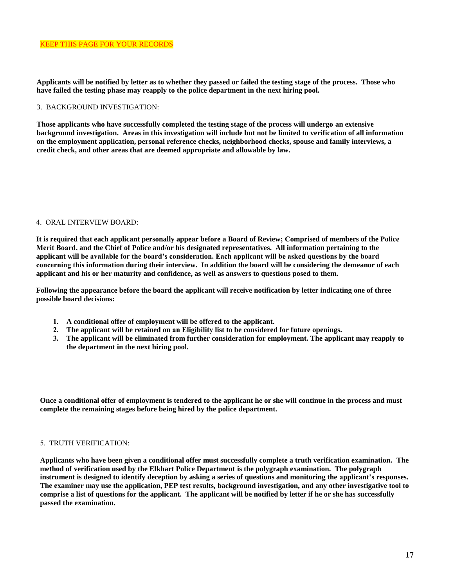**Applicants will be notified by letter as to whether they passed or failed the testing stage of the process. Those who have failed the testing phase may reapply to the police department in the next hiring pool.** 

### 3. BACKGROUND INVESTIGATION:

**Those applicants who have successfully completed the testing stage of the process will undergo an extensive background investigation. Areas in this investigation will include but not be limited to verification of all information on the employment application, personal reference checks, neighborhood checks, spouse and family interviews, a credit check, and other areas that are deemed appropriate and allowable by law.** 

#### 4. ORAL INTERVIEW BOARD:

**It is required that each applicant personally appear before a Board of Review; Comprised of members of the Police Merit Board, and the Chief of Police and/or his designated representatives. All information pertaining to the applicant will be available for the board's consideration. Each applicant will be asked questions by the board concerning this information during their interview. In addition the board will be considering the demeanor of each applicant and his or her maturity and confidence, as well as answers to questions posed to them.** 

**Following the appearance before the board the applicant will receive notification by letter indicating one of three possible board decisions:** 

- **1. A conditional offer of employment will be offered to the applicant.**
- **2. The applicant will be retained on an Eligibility list to be considered for future openings.**
- **3. The applicant will be eliminated from further consideration for employment. The applicant may reapply to the department in the next hiring pool.**

**Once a conditional offer of employment is tendered to the applicant he or she will continue in the process and must complete the remaining stages before being hired by the police department.** 

### 5. TRUTH VERIFICATION:

**Applicants who have been given a conditional offer must successfully complete a truth verification examination. The method of verification used by the Elkhart Police Department is the polygraph examination. The polygraph instrument is designed to identify deception by asking a series of questions and monitoring the applicant's responses. The examiner may use the application, PEP test results, background investigation, and any other investigative tool to comprise a list of questions for the applicant. The applicant will be notified by letter if he or she has successfully passed the examination.**